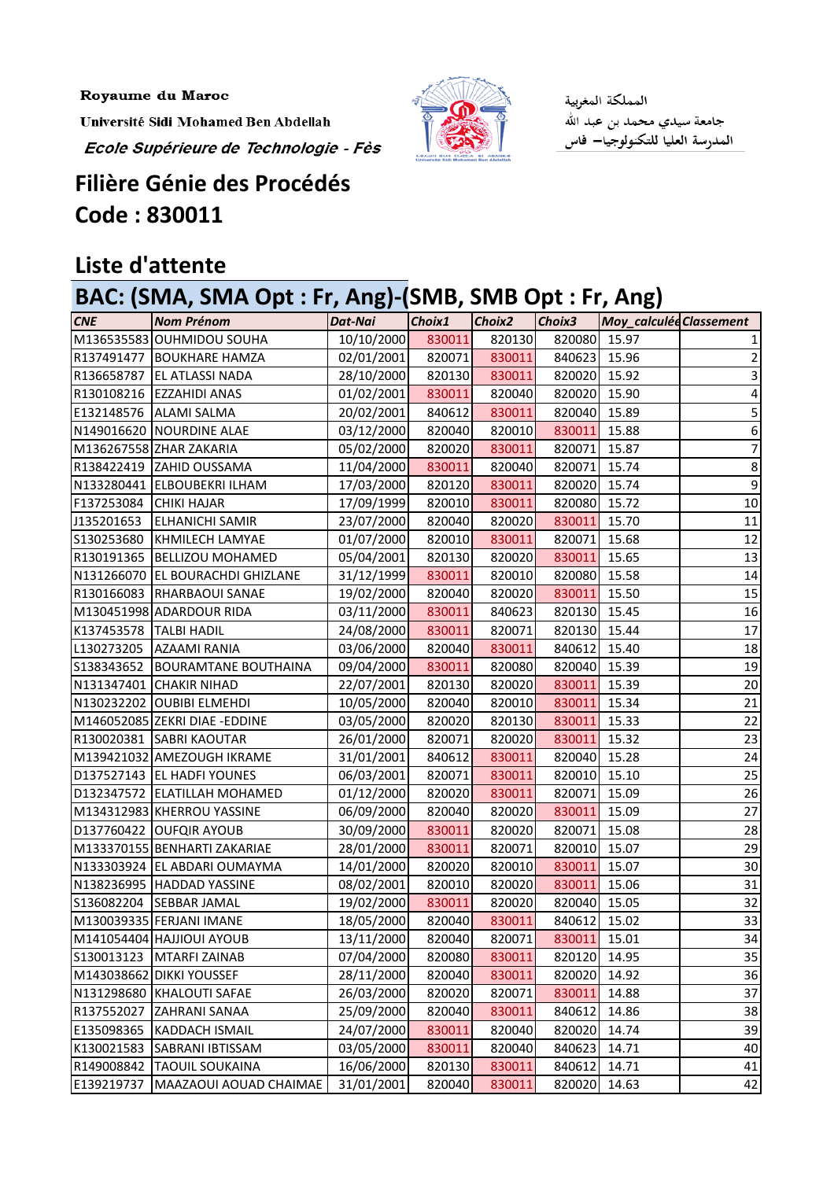Royaume du Maroc

Université Sidi Mohamed Ben Abdellah

Ecole Supérieure de Technologie - Fès



المملكة المغربية جامعة سيدي محمد بن عبد الله<br>المدرسة العليا للتكنولوجيا— فاس

## **Filière Génie des Procédés Code : 830011**

## **Liste d'attente**

## **BAC: (SMA, SMA Opt : Fr, Ang)-(SMB, SMB Opt : Fr, Ang)**

| <b>CNE</b>               | <b>Nom Prénom</b>                | Dat-Nai    | Choix1 | Choix2 | Choix3 | <b>Moy_calculée Classement</b> |    |
|--------------------------|----------------------------------|------------|--------|--------|--------|--------------------------------|----|
|                          | M136535583 OUHMIDOU SOUHA        | 10/10/2000 | 830011 | 820130 | 820080 | 15.97                          |    |
| R137491477               | <b>BOUKHARE HAMZA</b>            | 02/01/2001 | 820071 | 830011 | 840623 | 15.96                          | 2  |
| R136658787               | <b>EL ATLASSI NADA</b>           | 28/10/2000 | 820130 | 830011 | 820020 | 15.92                          |    |
|                          | R130108216 EZZAHIDI ANAS         | 01/02/2001 | 830011 | 820040 | 820020 | 15.90                          | 4  |
|                          | E132148576   ALAMI SALMA         | 20/02/2001 | 840612 | 830011 | 820040 | 15.89                          | 5  |
|                          | N149016620 NOURDINE ALAE         | 03/12/2000 | 820040 | 820010 | 830011 | 15.88                          | 6  |
|                          | M136267558 ZHAR ZAKARIA          | 05/02/2000 | 820020 | 830011 | 820071 | 15.87                          | 7  |
|                          | R138422419 ZAHID OUSSAMA         | 11/04/2000 | 830011 | 820040 | 820071 | 15.74                          | 8  |
|                          | N133280441 ELBOUBEKRI ILHAM      | 17/03/2000 | 820120 | 830011 | 820020 | 15.74                          | 9  |
| F137253084 CHIKI HAJAR   |                                  | 17/09/1999 | 820010 | 830011 | 820080 | 15.72                          | 10 |
| J135201653               | <b>ELHANICHI SAMIR</b>           | 23/07/2000 | 820040 | 820020 | 830011 | 15.70                          | 11 |
| S130253680               | KHMILECH LAMYAE                  | 01/07/2000 | 820010 | 830011 | 820071 | 15.68                          | 12 |
| R130191365               | <b>BELLIZOU MOHAMED</b>          | 05/04/2001 | 820130 | 820020 | 830011 | 15.65                          | 13 |
|                          | N131266070 EL BOURACHDI GHIZLANE | 31/12/1999 | 830011 | 820010 | 820080 | 15.58                          | 14 |
|                          | R130166083  RHARBAOUI SANAE      | 19/02/2000 | 820040 | 820020 | 830011 | 15.50                          | 15 |
|                          | M130451998 ADARDOUR RIDA         | 03/11/2000 | 830011 | 840623 | 820130 | 15.45                          | 16 |
| K137453578   TALBI HADIL |                                  | 24/08/2000 | 830011 | 820071 | 820130 | 15.44                          | 17 |
| L130273205               | <b>AZAAMI RANIA</b>              | 03/06/2000 | 820040 | 830011 | 840612 | 15.40                          | 18 |
| S138343652               | <b>BOURAMTANE BOUTHAINA</b>      | 09/04/2000 | 830011 | 820080 | 820040 | 15.39                          | 19 |
|                          | N131347401 CHAKIR NIHAD          | 22/07/2001 | 820130 | 820020 | 830011 | 15.39                          | 20 |
|                          | N130232202 OUBIBI ELMEHDI        | 10/05/2000 | 820040 | 820010 | 830011 | 15.34                          | 21 |
|                          | M146052085 ZEKRI DIAE - EDDINE   | 03/05/2000 | 820020 | 820130 | 830011 | 15.33                          | 22 |
|                          | R130020381 SABRI KAOUTAR         | 26/01/2000 | 820071 | 820020 | 830011 | 15.32                          | 23 |
|                          | M139421032 AMEZOUGH IKRAME       | 31/01/2001 | 840612 | 830011 | 820040 | 15.28                          | 24 |
|                          | D137527143 EL HADFI YOUNES       | 06/03/2001 | 820071 | 830011 | 820010 | 15.10                          | 25 |
|                          | D132347572 ELATILLAH MOHAMED     | 01/12/2000 | 820020 | 830011 | 820071 | 15.09                          | 26 |
|                          | M134312983 KHERROU YASSINE       | 06/09/2000 | 820040 | 820020 | 830011 | 15.09                          | 27 |
|                          | D137760422 OUFQIR AYOUB          | 30/09/2000 | 830011 | 820020 | 820071 | 15.08                          | 28 |
|                          | M133370155 BENHARTI ZAKARIAE     | 28/01/2000 | 830011 | 820071 | 820010 | 15.07                          | 29 |
|                          | N133303924 EL ABDARI OUMAYMA     | 14/01/2000 | 820020 | 820010 | 830011 | 15.07                          | 30 |
|                          | N138236995 HADDAD YASSINE        | 08/02/2001 | 820010 | 820020 | 830011 | 15.06                          | 31 |
|                          | S136082204 SEBBAR JAMAL          | 19/02/2000 | 830011 | 820020 | 820040 | 15.05                          | 32 |
|                          | M130039335 FERJANI IMANE         | 18/05/2000 | 820040 | 830011 | 840612 | 15.02                          | 33 |
|                          | M141054404 HAJJIOUI AYOUB        | 13/11/2000 | 820040 | 820071 | 830011 | 15.01                          | 34 |
| S130013123               | MTARFI ZAINAB                    | 07/04/2000 | 820080 | 830011 | 820120 | 14.95                          | 35 |
|                          | M143038662 DIKKI YOUSSEF         | 28/11/2000 | 820040 | 830011 | 820020 | 14.92                          | 36 |
| N131298680               | KHALOUTI SAFAE                   | 26/03/2000 | 820020 | 820071 | 830011 | 14.88                          | 37 |
| R137552027               | <b>ZAHRANI SANAA</b>             | 25/09/2000 | 820040 | 830011 | 840612 | 14.86                          | 38 |
| E135098365               | <b>KADDACH ISMAIL</b>            | 24/07/2000 | 830011 | 820040 | 820020 | 14.74                          | 39 |
| K130021583               | SABRANI IBTISSAM                 | 03/05/2000 | 830011 | 820040 | 840623 | 14.71                          | 40 |
| R149008842               | <b>TAOUIL SOUKAINA</b>           | 16/06/2000 | 820130 | 830011 | 840612 | 14.71                          | 41 |
| E139219737               | MAAZAOUI AOUAD CHAIMAE           | 31/01/2001 | 820040 | 830011 | 820020 | 14.63                          | 42 |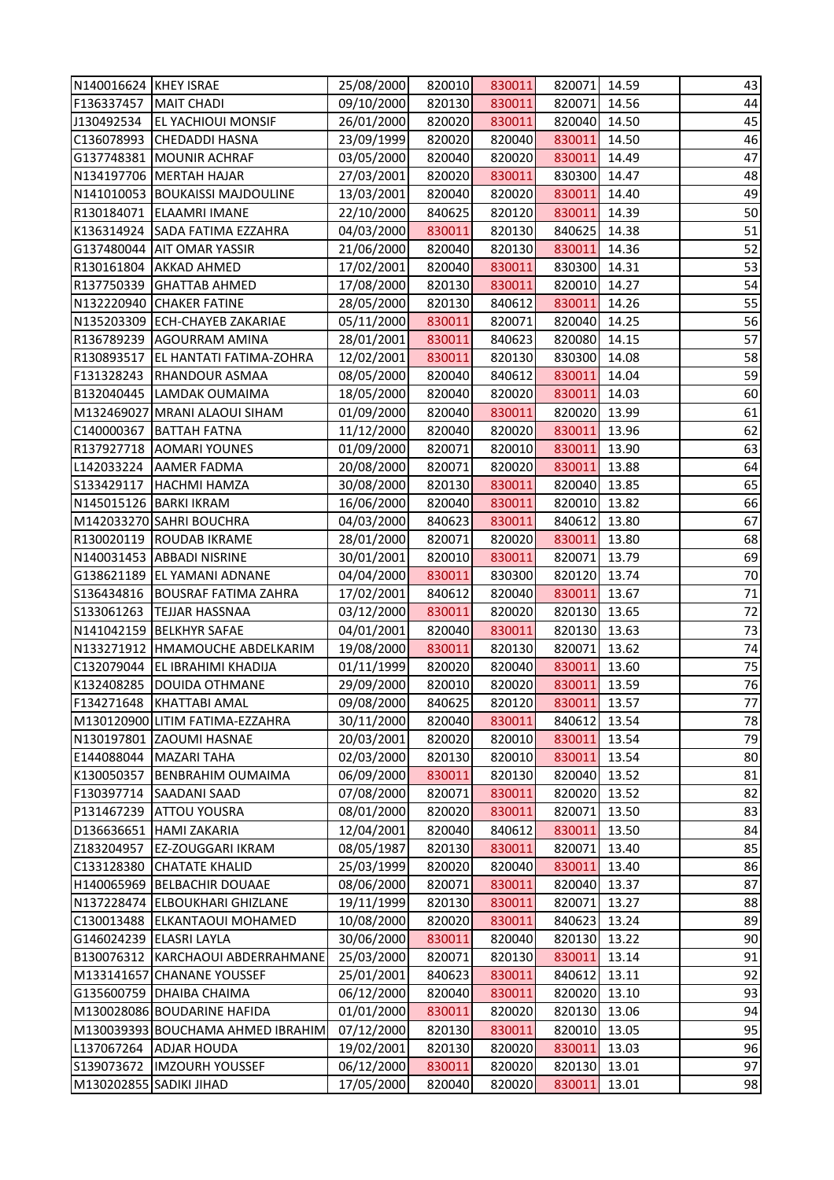| N140016624 KHEY ISRAE   |                                   | 25/08/2000 | 820010 | 830011 | 820071 | 14.59 | 43     |
|-------------------------|-----------------------------------|------------|--------|--------|--------|-------|--------|
| F136337457              | MAIT CHADI                        | 09/10/2000 | 820130 | 830011 | 820071 | 14.56 | 44     |
| J130492534              | <b>EL YACHIOUI MONSIF</b>         | 26/01/2000 | 820020 | 830011 | 820040 | 14.50 | 45     |
| C136078993              | <b>CHEDADDI HASNA</b>             | 23/09/1999 | 820020 | 820040 | 830011 | 14.50 | 46     |
| G137748381              | <b>MOUNIR ACHRAF</b>              | 03/05/2000 | 820040 | 820020 | 830011 | 14.49 | 47     |
|                         | N134197706   MERTAH HAJAR         | 27/03/2001 | 820020 | 830011 | 830300 | 14.47 | 48     |
|                         | N141010053 BOUKAISSI MAJDOULINE   | 13/03/2001 | 820040 | 820020 | 830011 | 14.40 | 49     |
| R130184071              | <b>ELAAMRI IMANE</b>              | 22/10/2000 | 840625 | 820120 | 830011 | 14.39 | 50     |
| K136314924              | SADA FATIMA EZZAHRA               | 04/03/2000 | 830011 | 820130 | 840625 | 14.38 | 51     |
| G137480044              | <b>AIT OMAR YASSIR</b>            | 21/06/2000 | 820040 | 820130 | 830011 | 14.36 | 52     |
| R130161804              | <b>AKKAD AHMED</b>                | 17/02/2001 | 820040 | 830011 | 830300 | 14.31 | 53     |
| R137750339              | <b>GHATTAB AHMED</b>              | 17/08/2000 | 820130 | 830011 | 820010 | 14.27 | 54     |
| N132220940              | <b>CHAKER FATINE</b>              | 28/05/2000 | 820130 | 840612 | 830011 | 14.26 | 55     |
| N135203309              | <b>ECH-CHAYEB ZAKARIAE</b>        | 05/11/2000 | 830011 | 820071 | 820040 | 14.25 | 56     |
| R136789239              | <b>AGOURRAM AMINA</b>             | 28/01/2001 | 830011 | 840623 | 820080 | 14.15 | 57     |
| R130893517              | <b>EL HANTATI FATIMA-ZOHRA</b>    | 12/02/2001 | 830011 | 820130 | 830300 | 14.08 | 58     |
| F131328243              | <b>RHANDOUR ASMAA</b>             | 08/05/2000 | 820040 | 840612 | 830011 | 14.04 | 59     |
| B132040445              | LAMDAK OUMAIMA                    | 18/05/2000 | 820040 | 820020 | 830011 | 14.03 | 60     |
|                         | M132469027 MRANI ALAOUI SIHAM     | 01/09/2000 | 820040 | 830011 | 820020 | 13.99 | 61     |
| C140000367              | <b>BATTAH FATNA</b>               | 11/12/2000 | 820040 | 820020 | 830011 | 13.96 | 62     |
|                         | R137927718 AOMARI YOUNES          | 01/09/2000 | 820071 | 820010 | 830011 | 13.90 | 63     |
| L142033224              | <b>AAMER FADMA</b>                | 20/08/2000 | 820071 | 820020 | 830011 | 13.88 | 64     |
| S133429117              | <b>HACHMI HAMZA</b>               | 30/08/2000 | 820130 | 830011 | 820040 | 13.85 | 65     |
|                         | N145015126 BARKI IKRAM            | 16/06/2000 | 820040 | 830011 | 820010 | 13.82 | 66     |
|                         | M142033270 SAHRI BOUCHRA          | 04/03/2000 | 840623 | 830011 | 840612 | 13.80 | 67     |
| R130020119              | <b>ROUDAB IKRAME</b>              | 28/01/2000 | 820071 | 820020 | 830011 | 13.80 | 68     |
| N140031453              | <b>ABBADI NISRINE</b>             | 30/01/2001 | 820010 | 830011 | 820071 | 13.79 | 69     |
| G138621189              | <b>EL YAMANI ADNANE</b>           | 04/04/2000 | 830011 | 830300 | 820120 | 13.74 | 70     |
| S136434816              | <b>BOUSRAF FATIMA ZAHRA</b>       | 17/02/2001 | 840612 | 820040 | 830011 | 13.67 | $71\,$ |
| S133061263              | <b>TEJJAR HASSNAA</b>             | 03/12/2000 | 830011 | 820020 | 820130 | 13.65 | 72     |
|                         | N141042159 BELKHYR SAFAE          | 04/01/2001 | 820040 | 830011 | 820130 | 13.63 | 73     |
|                         | N133271912 HMAMOUCHE ABDELKARIM   | 19/08/2000 | 830011 | 820130 | 820071 | 13.62 | 74     |
| C132079044              | <b>EL IBRAHIMI KHADIJA</b>        | 01/11/1999 | 820020 | 820040 | 830011 | 13.60 | 75     |
| K132408285              | <b>DOUIDA OTHMANE</b>             | 29/09/2000 | 820010 | 820020 | 830011 | 13.59 | 76     |
| F134271648              | KHATTABI AMAL                     | 09/08/2000 | 840625 | 820120 | 830011 | 13.57 | 77     |
|                         | M130120900 LITIM FATIMA-EZZAHRA   | 30/11/2000 | 820040 | 830011 | 840612 | 13.54 | 78     |
| N130197801              | <b>ZAOUMI HASNAE</b>              | 20/03/2001 | 820020 | 820010 | 830011 | 13.54 | 79     |
| E144088044              | <b>MAZARI TAHA</b>                | 02/03/2000 | 820130 | 820010 | 830011 | 13.54 | 80     |
| K130050357              | <b>BENBRAHIM OUMAIMA</b>          | 06/09/2000 | 830011 | 820130 | 820040 | 13.52 | 81     |
| F130397714              | <b>SAADANI SAAD</b>               | 07/08/2000 | 820071 | 830011 | 820020 | 13.52 | 82     |
| P131467239              | <b>ATTOU YOUSRA</b>               | 08/01/2000 | 820020 | 830011 | 820071 | 13.50 | 83     |
| D136636651              | <b>HAMI ZAKARIA</b>               | 12/04/2001 | 820040 | 840612 | 830011 | 13.50 | 84     |
| Z183204957              | <b>EZ-ZOUGGARI IKRAM</b>          | 08/05/1987 | 820130 | 830011 | 820071 | 13.40 | 85     |
| C133128380              | <b>CHATATE KHALID</b>             | 25/03/1999 | 820020 | 820040 | 830011 | 13.40 | 86     |
| H140065969              | <b>BELBACHIR DOUAAE</b>           | 08/06/2000 | 820071 | 830011 | 820040 | 13.37 | 87     |
| N137228474              | <b>ELBOUKHARI GHIZLANE</b>        | 19/11/1999 | 820130 | 830011 | 820071 | 13.27 | 88     |
| C130013488              | <b>ELKANTAOUI MOHAMED</b>         | 10/08/2000 | 820020 | 830011 | 840623 | 13.24 | 89     |
| G146024239              | <b>ELASRI LAYLA</b>               | 30/06/2000 | 830011 | 820040 | 820130 | 13.22 | 90     |
| B130076312              | KARCHAOUI ABDERRAHMANE            | 25/03/2000 | 820071 | 820130 | 830011 | 13.14 | 91     |
|                         | M133141657 CHANANE YOUSSEF        | 25/01/2001 | 840623 | 830011 | 840612 | 13.11 | 92     |
| G135600759              | <b>DHAIBA CHAIMA</b>              | 06/12/2000 | 820040 | 830011 | 820020 | 13.10 | 93     |
|                         | M130028086 BOUDARINE HAFIDA       | 01/01/2000 | 830011 | 820020 | 820130 | 13.06 | 94     |
|                         | M130039393 BOUCHAMA AHMED IBRAHIM | 07/12/2000 | 820130 | 830011 | 820010 | 13.05 | 95     |
| L137067264              | <b>ADJAR HOUDA</b>                | 19/02/2001 | 820130 | 820020 | 830011 | 13.03 | 96     |
| S139073672              | <b>IMZOURH YOUSSEF</b>            | 06/12/2000 | 830011 | 820020 | 820130 | 13.01 | 97     |
| M130202855 SADIKI JIHAD |                                   | 17/05/2000 | 820040 | 820020 | 830011 | 13.01 | 98     |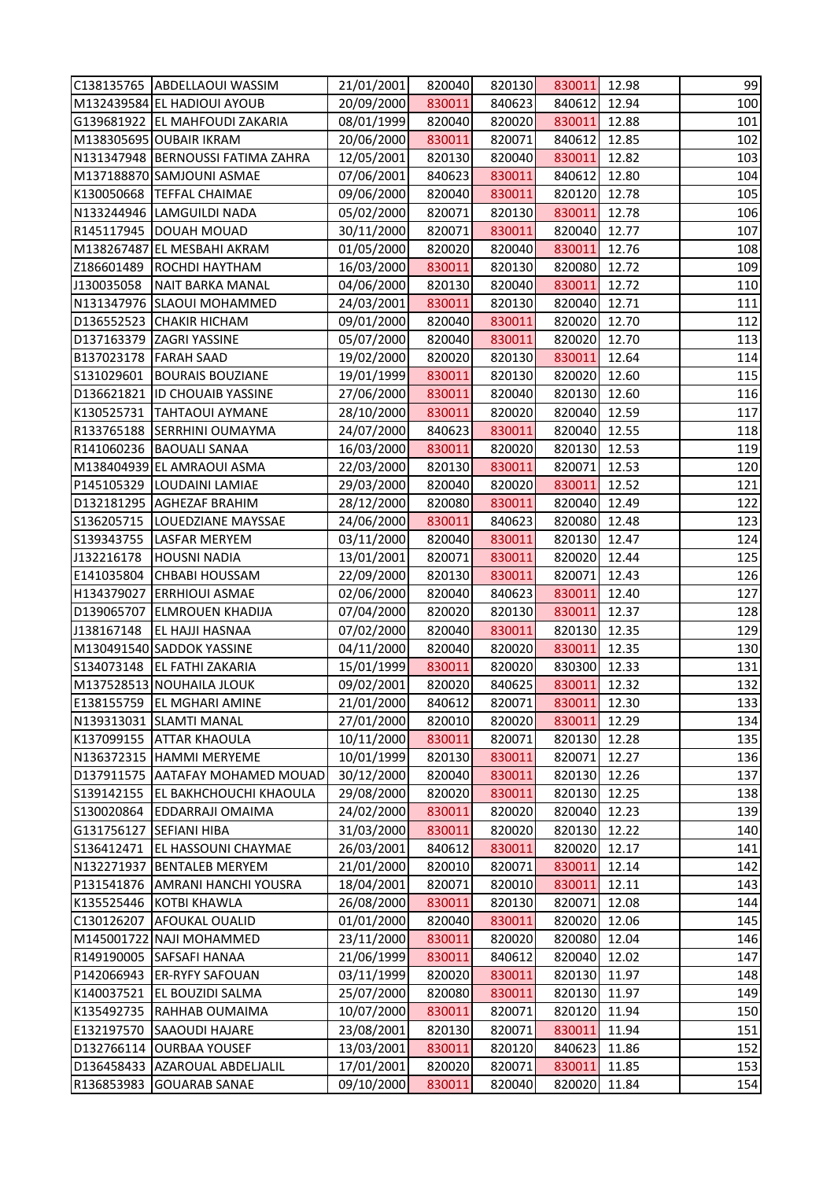|                          | C138135765 ABDELLAOUI WASSIM                | 21/01/2001               | 820040           | 820130           | 830011           | 12.98          | 99                              |
|--------------------------|---------------------------------------------|--------------------------|------------------|------------------|------------------|----------------|---------------------------------|
|                          | M132439584 EL HADIOUI AYOUB                 | 20/09/2000               | 830011           | 840623           | 840612           | 12.94          | 100                             |
|                          | G139681922 EL MAHFOUDI ZAKARIA              | 08/01/1999               | 820040           | 820020           | 830011           | 12.88          | 101                             |
|                          | M138305695 OUBAIR IKRAM                     | 20/06/2000               | 830011           | 820071           | 840612           | 12.85          | 102                             |
|                          | N131347948   BERNOUSSI FATIMA ZAHRA         | 12/05/2001               | 820130           | 820040           | 830011           | 12.82          | 103                             |
|                          | M137188870 SAMJOUNI ASMAE                   | 07/06/2001               | 840623           | 830011           | 840612           | 12.80          | 104                             |
|                          | K130050668  TEFFAL CHAIMAE                  | 09/06/2000               | 820040           | 830011           | 820120           | 12.78          | 105                             |
|                          | N133244946 LAMGUILDI NADA                   | 05/02/2000               | 820071           | 820130           | 830011           | 12.78          | 106                             |
|                          | R145117945   DOUAH MOUAD                    | 30/11/2000               | 820071           | 830011           | 820040           | 12.77          | 107                             |
|                          | M138267487 EL MESBAHI AKRAM                 | 01/05/2000               | 820020           | 820040           | 830011           | 12.76          | 108                             |
| Z186601489               | <b>ROCHDI HAYTHAM</b>                       | 16/03/2000               | 830011           | 820130           | 820080           | 12.72          | 109                             |
| J130035058               | NAIT BARKA MANAL                            | 04/06/2000               | 820130           | 820040           | 830011           | 12.72          | 110                             |
|                          | N131347976 SLAOUI MOHAMMED                  | 24/03/2001               | 830011           | 820130           | 820040           | 12.71          | 111                             |
|                          | D136552523 CHAKIR HICHAM                    | 09/01/2000               | 820040           | 830011           | 820020           | 12.70          | 112                             |
|                          | D137163379 ZAGRI YASSINE                    | 05/07/2000               | 820040           | 830011           | 820020           | 12.70          | 113                             |
| B137023178   FARAH SAAD  |                                             | 19/02/2000               | 820020           | 820130           | 830011           | 12.64          | 114                             |
| S131029601               | <b>BOURAIS BOUZIANE</b>                     | 19/01/1999               | 830011           | 820130           | 820020           | 12.60          | 115                             |
| D136621821               | <b>ID CHOUAIB YASSINE</b>                   | 27/06/2000               | 830011           | 820040           | 820130           | 12.60          | 116                             |
| K130525731               | <b>TAHTAOUI AYMANE</b>                      | 28/10/2000               | 830011           | 820020           | 820040           | 12.59          | 117                             |
|                          | R133765188 SERRHINI OUMAYMA                 | 24/07/2000               | 840623           | 830011           | 820040           | 12.55          | 118                             |
|                          | R141060236   BAOUALI SANAA                  | 16/03/2000               | 830011           | 820020           | 820130           | 12.53          | 119                             |
|                          | M138404939 EL AMRAOUI ASMA                  | 22/03/2000               | 820130           | 830011           | 820071           | 12.53          | 120                             |
| P145105329               | LOUDAINI LAMIAE                             | 29/03/2000               | 820040           | 820020           | 830011           | 12.52          | 121                             |
|                          | D132181295 AGHEZAF BRAHIM                   | 28/12/2000               | 820080           | 830011           | 820040           | 12.49          | 122                             |
| S136205715               | LOUEDZIANE MAYSSAE                          | 24/06/2000               | 830011           | 840623           | 820080           | 12.48          | 123                             |
| S139343755               | <b>LASFAR MERYEM</b>                        | 03/11/2000               | 820040           | 830011           | 820130           | 12.47          | 124                             |
| J132216178               | <b>HOUSNI NADIA</b>                         | 13/01/2001               | 820071           | 830011           | 820020           | 12.44          | 125                             |
| E141035804               | <b>CHBABI HOUSSAM</b>                       | 22/09/2000               | 820130           | 830011           | 820071           | 12.43          | 126                             |
| H134379027               | <b>ERRHIOUI ASMAE</b>                       | 02/06/2000               | 820040           | 840623           | 830011           | 12.40          | 127                             |
| D139065707               | <b>ELMROUEN KHADIJA</b>                     | 07/04/2000               | 820020           | 820130           | 830011           | 12.37          | 128                             |
| J138167148               | <b>EL HAJJI HASNAA</b>                      | 07/02/2000               | 820040           | 830011           | 820130 12.35     |                | 129                             |
|                          | M130491540 SADDOK YASSINE                   | 04/11/2000               | 820040           | 820020           | 830011           | 12.35          | 130                             |
| S134073148               | <b>EL FATHI ZAKARIA</b>                     | 15/01/1999               | 830011           | 820020           | 830300           | 12.33          | 131                             |
|                          | M137528513 NOUHAILA JLOUK                   | 09/02/2001               | 820020           | 840625           | 830011           | 12.32          | 132                             |
| E138155759               | <b>EL MGHARI AMINE</b>                      | 21/01/2000               | 840612           |                  |                  |                |                                 |
|                          |                                             |                          |                  |                  |                  |                |                                 |
|                          |                                             |                          |                  | 820071           | 830011           | 12.30          |                                 |
|                          | N139313031 SLAMTI MANAL                     | 27/01/2000               | 820010           | 820020           | 830011           | 12.29          |                                 |
| K137099155               | <b>ATTAR KHAOULA</b>                        | 10/11/2000               | 830011           | 820071           | 820130           | 12.28          |                                 |
|                          | N136372315 HAMMI MERYEME                    | 10/01/1999               | 820130           | 830011           | 820071           | 12.27          |                                 |
| D137911575               | AATAFAY MOHAMED MOUAD                       | 30/12/2000               | 820040           | 830011           | 820130           | 12.26          | 133<br>134<br>135<br>136<br>137 |
| S139142155               | <b>EL BAKHCHOUCHI KHAOULA</b>               | 29/08/2000               | 820020           | 830011           | 820130           | 12.25          | 138                             |
| S130020864               | <b>EDDARRAJI OMAIMA</b>                     | 24/02/2000               | 830011           | 820020           | 820040           | 12.23          | 139                             |
| G131756127               | <b>SEFIANI HIBA</b>                         | 31/03/2000               | 830011           | 820020           | 820130           | 12.22          | 140                             |
| S136412471               | <b>EL HASSOUNI CHAYMAE</b>                  | 26/03/2001               | 840612           | 830011           | 820020           | 12.17          | 141                             |
| N132271937               | <b>BENTALEB MERYEM</b>                      | 21/01/2000               | 820010           | 820071           | 830011           | 12.14          | 142                             |
| P131541876               | <b>AMRANI HANCHI YOUSRA</b>                 | 18/04/2001               | 820071           | 820010           | 830011           | 12.11          | 143                             |
| K135525446               | <b>KOTBI KHAWLA</b>                         | 26/08/2000               | 830011           | 820130           | 820071           | 12.08          | 144                             |
| C130126207               | <b>AFOUKAL OUALID</b>                       | 01/01/2000               | 820040           | 830011           | 820020           | 12.06          | 145                             |
|                          | M145001722 NAJI MOHAMMED                    | 23/11/2000               | 830011           | 820020           | 820080           | 12.04          | 146                             |
| R149190005               | <b>SAFSAFI HANAA</b>                        | 21/06/1999               | 830011           | 840612           | 820040           | 12.02          | 147                             |
| P142066943               | <b>ER-RYFY SAFOUAN</b>                      | 03/11/1999               | 820020           | 830011           | 820130           | 11.97          | 148                             |
| K140037521               | <b>EL BOUZIDI SALMA</b>                     | 25/07/2000               | 820080           | 830011           | 820130           | 11.97          | 149                             |
| K135492735               | RAHHAB OUMAIMA                              | 10/07/2000               | 830011           | 820071           | 820120           | 11.94          | 150                             |
| E132197570               | <b>SAAOUDI HAJARE</b>                       | 23/08/2001               | 820130           | 820071           | 830011           | 11.94          | 151                             |
| D132766114               | <b>OURBAA YOUSEF</b>                        | 13/03/2001               | 830011           | 820120           | 840623           | 11.86          | 152                             |
| D136458433<br>R136853983 | AZAROUAL ABDELJALIL<br><b>GOUARAB SANAE</b> | 17/01/2001<br>09/10/2000 | 820020<br>830011 | 820071<br>820040 | 830011<br>820020 | 11.85<br>11.84 | 153<br>154                      |